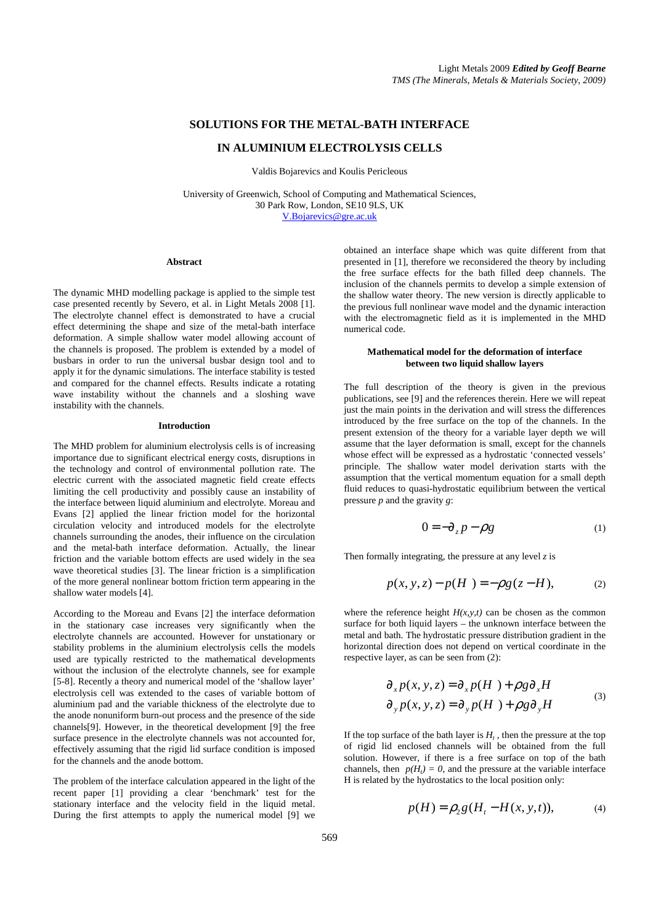# **SOLUTIONS FOR THE METAL-BATH INTERFACE**

### **IN ALUMINIUM ELECTROLYSIS CELLS**

Valdis Bojarevics and Koulis Pericleous

University of Greenwich, School of Computing and Mathematical Sciences, 30 Park Row, London, SE10 9LS, UK V.Bojarevics@gre.ac.uk

#### **Abstract**

The dynamic MHD modelling package is applied to the simple test case presented recently by Severo, et al. in Light Metals 2008 [1]. The electrolyte channel effect is demonstrated to have a crucial effect determining the shape and size of the metal-bath interface deformation. A simple shallow water model allowing account of the channels is proposed. The problem is extended by a model of busbars in order to run the universal busbar design tool and to apply it for the dynamic simulations. The interface stability is tested and compared for the channel effects. Results indicate a rotating wave instability without the channels and a sloshing wave instability with the channels.

## **Introduction**

The MHD problem for aluminium electrolysis cells is of increasing importance due to significant electrical energy costs, disruptions in the technology and control of environmental pollution rate. The electric current with the associated magnetic field create effects limiting the cell productivity and possibly cause an instability of the interface between liquid aluminium and electrolyte. Moreau and Evans [2] applied the linear friction model for the horizontal circulation velocity and introduced models for the electrolyte channels surrounding the anodes, their influence on the circulation and the metal-bath interface deformation. Actually, the linear friction and the variable bottom effects are used widely in the sea wave theoretical studies [3]. The linear friction is a simplification of the more general nonlinear bottom friction term appearing in the shallow water models [4].

According to the Moreau and Evans [2] the interface deformation in the stationary case increases very significantly when the electrolyte channels are accounted. However for unstationary or stability problems in the aluminium electrolysis cells the models used are typically restricted to the mathematical developments without the inclusion of the electrolyte channels, see for example [5-8]. Recently a theory and numerical model of the 'shallow layer' electrolysis cell was extended to the cases of variable bottom of aluminium pad and the variable thickness of the electrolyte due to the anode nonuniform burn-out process and the presence of the side channels[9]. However, in the theoretical development [9] the free surface presence in the electrolyte channels was not accounted for, effectively assuming that the rigid lid surface condition is imposed for the channels and the anode bottom.

The problem of the interface calculation appeared in the light of the recent paper [1] providing a clear 'benchmark' test for the stationary interface and the velocity field in the liquid metal. During the first attempts to apply the numerical model [9] we

obtained an interface shape which was quite different from that presented in [1], therefore we reconsidered the theory by including the free surface effects for the bath filled deep channels. The inclusion of the channels permits to develop a simple extension of the shallow water theory. The new version is directly applicable to the previous full nonlinear wave model and the dynamic interaction with the electromagnetic field as it is implemented in the MHD numerical code.

#### **Mathematical model for the deformation of interface between two liquid shallow layers**

The full description of the theory is given in the previous publications, see [9] and the references therein. Here we will repeat just the main points in the derivation and will stress the differences introduced by the free surface on the top of the channels. In the present extension of the theory for a variable layer depth we will assume that the layer deformation is small, except for the channels whose effect will be expressed as a hydrostatic 'connected vessels' principle. The shallow water model derivation starts with the assumption that the vertical momentum equation for a small depth fluid reduces to quasi-hydrostatic equilibrium between the vertical pressure *p* and the gravity *g*:

$$
0 = -\partial_z p - \rho g \tag{1}
$$

Then formally integrating, the pressure at any level *z* is

$$
p(x, y, z) - p(H) = -\rho g(z - H),
$$
 (2)

where the reference height  $H(x, y, t)$  can be chosen as the common surface for both liquid layers – the unknown interface between the metal and bath. The hydrostatic pressure distribution gradient in the horizontal direction does not depend on vertical coordinate in the respective layer, as can be seen from (2):

$$
\partial_x p(x, y, z) = \partial_x p(H) + \rho g \partial_x H
$$
  
\n
$$
\partial_y p(x, y, z) = \partial_y p(H) + \rho g \partial_y H
$$
 (3)

If the top surface of the bath layer is  $H_t$ , then the pressure at the top of rigid lid enclosed channels will be obtained from the full solution. However, if there is a free surface on top of the bath channels, then  $p(H_t) = 0$ , and the pressure at the variable interface H is related by the hydrostatics to the local position only:

$$
p(H) = \rho_2 g(H_t - H(x, y, t)),
$$
 (4)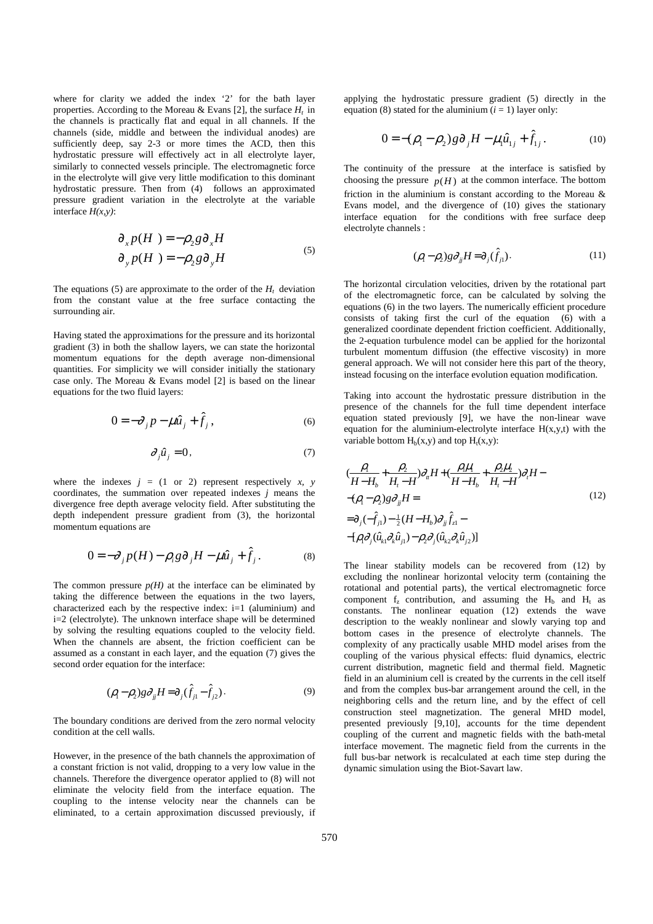where for clarity we added the index '2' for the bath layer properties. According to the Moreau & Evans [2], the surface *H<sup>t</sup>* in the channels is practically flat and equal in all channels. If the channels (side, middle and between the individual anodes) are sufficiently deep, say 2-3 or more times the ACD, then this hydrostatic pressure will effectively act in all electrolyte layer, similarly to connected vessels principle. The electromagnetic force in the electrolyte will give very little modification to this dominant hydrostatic pressure. Then from (4) follows an approximated pressure gradient variation in the electrolyte at the variable interface *H(x,y)*:

$$
\partial_x p(H) = -\rho_2 g \partial_x H
$$
  
\n
$$
\partial_y p(H) = -\rho_2 g \partial_y H
$$
\n(5)

The equations (5) are approximate to the order of the  $H_t$  deviation from the constant value at the free surface contacting the surrounding air.

Having stated the approximations for the pressure and its horizontal gradient (3) in both the shallow layers, we can state the horizontal momentum equations for the depth average non-dimensional quantities. For simplicity we will consider initially the stationary case only. The Moreau & Evans model [2] is based on the linear equations for the two fluid layers:

$$
0 = -\partial_j p - \mu \hat{u}_j + \hat{f}_j, \qquad (6)
$$

$$
\partial_j \hat{u}_j = 0,\tag{7}
$$

where the indexes  $j = (1 \text{ or } 2)$  represent respectively  $x$ ,  $y$ coordinates, the summation over repeated indexes *j* means the divergence free depth average velocity field. After substituting the depth independent pressure gradient from (3), the horizontal momentum equations are

$$
0 = -\partial_j p(H) - \rho_i g \partial_j H - \mu \hat{u}_j + \hat{f}_j. \tag{8}
$$

The common pressure  $p(H)$  at the interface can be eliminated by taking the difference between the equations in the two layers, characterized each by the respective index:  $i=1$  (aluminium) and i=2 (electrolyte). The unknown interface shape will be determined by solving the resulting equations coupled to the velocity field. When the channels are absent, the friction coefficient can be assumed as a constant in each layer, and the equation (7) gives the second order equation for the interface:

$$
(\rho_{\rm i} - \rho_{\rm 2}) g \partial_{\rm j} H = \partial_{\rm j} (\hat{f}_{\rm j1} - \hat{f}_{\rm j2}). \tag{9}
$$

The boundary conditions are derived from the zero normal velocity condition at the cell walls.

However, in the presence of the bath channels the approximation of a constant friction is not valid, dropping to a very low value in the channels. Therefore the divergence operator applied to (8) will not eliminate the velocity field from the interface equation. The coupling to the intense velocity near the channels can be eliminated, to a certain approximation discussed previously, if

applying the hydrostatic pressure gradient (5) directly in the equation (8) stated for the aluminium  $(i = 1)$  layer only:

$$
0 = -(\rho_1 - \rho_2) g \partial_j H - \mu_i \hat{u}_{1j} + \hat{f}_{1j}.
$$
 (10)

The continuity of the pressure at the interface is satisfied by choosing the pressure  $p(H)$  at the common interface. The bottom friction in the aluminium is constant according to the Moreau & Evans model, and the divergence of (10) gives the stationary interface equation for the conditions with free surface deep electrolyte channels :

$$
(\rho_{\mathbf{l}} - \rho_{\mathbf{l}})g\partial_{\mathbf{j}}H = \partial_{\mathbf{j}}(\hat{f}_{\mathbf{j}\mathbf{l}}).
$$
 (11)

The horizontal circulation velocities, driven by the rotational part of the electromagnetic force, can be calculated by solving the equations (6) in the two layers. The numerically efficient procedure consists of taking first the curl of the equation (6) with a generalized coordinate dependent friction coefficient. Additionally, the 2-equation turbulence model can be applied for the horizontal turbulent momentum diffusion (the effective viscosity) in more general approach. We will not consider here this part of the theory, instead focusing on the interface evolution equation modification.

Taking into account the hydrostatic pressure distribution in the presence of the channels for the full time dependent interface equation stated previously [9], we have the non-linear wave equation for the aluminium-electrolyte interface  $H(x,y,t)$  with the variable bottom  $H_b(x,y)$  and top  $H_t(x,y)$ :

$$
\left(\frac{\rho_1}{H - H_b} + \frac{\rho_2}{H_i - H}\right)\partial_\mu H + \left(\frac{\rho_1 \mu_1}{H - H_b} + \frac{\rho_2 \mu_2}{H_i - H}\right)\partial_\mu H -
$$
  
\n
$$
-(\rho_1 - \rho_2)g\partial_{jj}H =
$$
  
\n
$$
= \partial_j(-\hat{f}_{j1}) - \frac{1}{2}(H - H_b)\partial_{jj}\hat{f}_{z1} -
$$
  
\n
$$
-[\rho_i \partial_j(\hat{u}_{k1}\partial_k \hat{u}_{j1}) - \rho_2 \partial_j(\hat{u}_{k2}\partial_k \hat{u}_{j2})]
$$
\n(12)

The linear stability models can be recovered from (12) by excluding the nonlinear horizontal velocity term (containing the rotational and potential parts), the vertical electromagnetic force component  $f_z$  contribution, and assuming the  $H_b$  and  $H_t$  as constants. The nonlinear equation (12) extends the wave description to the weakly nonlinear and slowly varying top and bottom cases in the presence of electrolyte channels. The complexity of any practically usable MHD model arises from the coupling of the various physical effects: fluid dynamics, electric current distribution, magnetic field and thermal field. Magnetic field in an aluminium cell is created by the currents in the cell itself and from the complex bus-bar arrangement around the cell, in the neighboring cells and the return line, and by the effect of cell construction steel magnetization. The general MHD model, presented previously [9,10], accounts for the time dependent coupling of the current and magnetic fields with the bath-metal interface movement. The magnetic field from the currents in the full bus-bar network is recalculated at each time step during the dynamic simulation using the Biot-Savart law.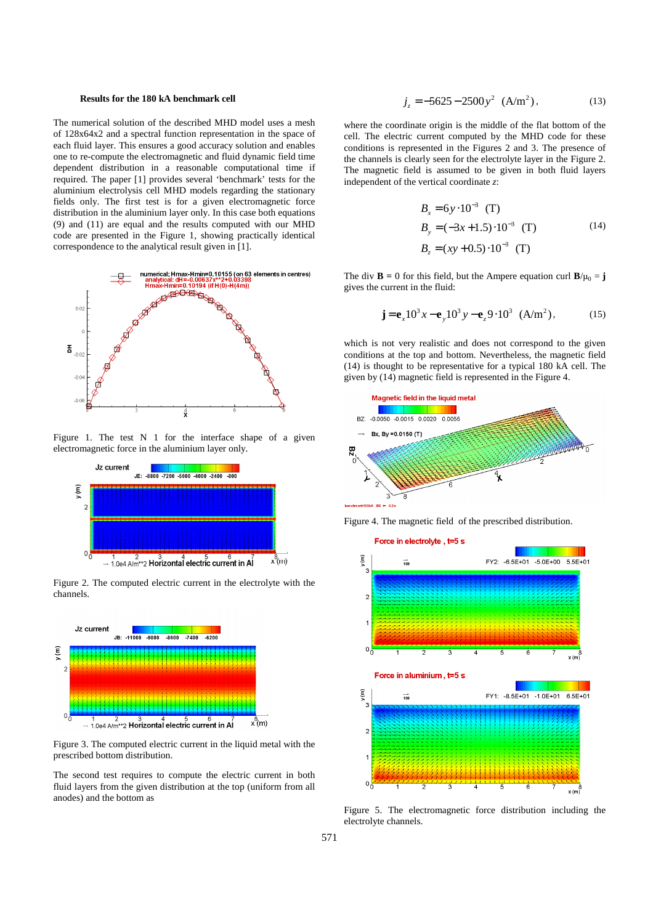#### **Results for the 180 kA benchmark cell**

The numerical solution of the described MHD model uses a mesh of 128x64x2 and a spectral function representation in the space of each fluid layer. This ensures a good accuracy solution and enables one to re-compute the electromagnetic and fluid dynamic field time dependent distribution in a reasonable computational time if required. The paper [1] provides several 'benchmark' tests for the aluminium electrolysis cell MHD models regarding the stationary fields only. The first test is for a given electromagnetic force distribution in the aluminium layer only. In this case both equations (9) and (11) are equal and the results computed with our MHD code are presented in the Figure 1, showing practically identical correspondence to the analytical result given in [1].



Figure 1. The test N 1 for the interface shape of a given electromagnetic force in the aluminium layer only.



Figure 2. The computed electric current in the electrolyte with the channels.



Figure 3. The computed electric current in the liquid metal with the prescribed bottom distribution.

The second test requires to compute the electric current in both fluid layers from the given distribution at the top (uniform from all anodes) and the bottom as

$$
j_z = -5625 - 2500y^2
$$
 (A/m<sup>2</sup>), (13)

where the coordinate origin is the middle of the flat bottom of the cell. The electric current computed by the MHD code for these conditions is represented in the Figures 2 and 3. The presence of the channels is clearly seen for the electrolyte layer in the Figure 2. The magnetic field is assumed to be given in both fluid layers independent of the vertical coordinate *z*:

$$
B_x = 6y \cdot 10^{-3} \text{ (T)}
$$
  
\n
$$
B_y = (-3x + 1.5) \cdot 10^{-3} \text{ (T)}
$$
  
\n
$$
B_z = (xy + 0.5) \cdot 10^{-3} \text{ (T)}
$$
 (14)

The div **B** = 0 for this field, but the Ampere equation curl  $\mathbf{B}/\mu_0 = \mathbf{j}$ gives the current in the fluid:

$$
\mathbf{j} = \mathbf{e}_x 10^3 x - \mathbf{e}_y 10^3 y - \mathbf{e}_z 9 \cdot 10^3 \text{ (A/m}^2), \quad (15)
$$

which is not very realistic and does not correspond to the given conditions at the top and bottom. Nevertheless, the magnetic field (14) is thought to be representative for a typical 180 kA cell. The given by (14) magnetic field is represented in the Figure 4.







Figure 5. The electromagnetic force distribution including the electrolyte channels.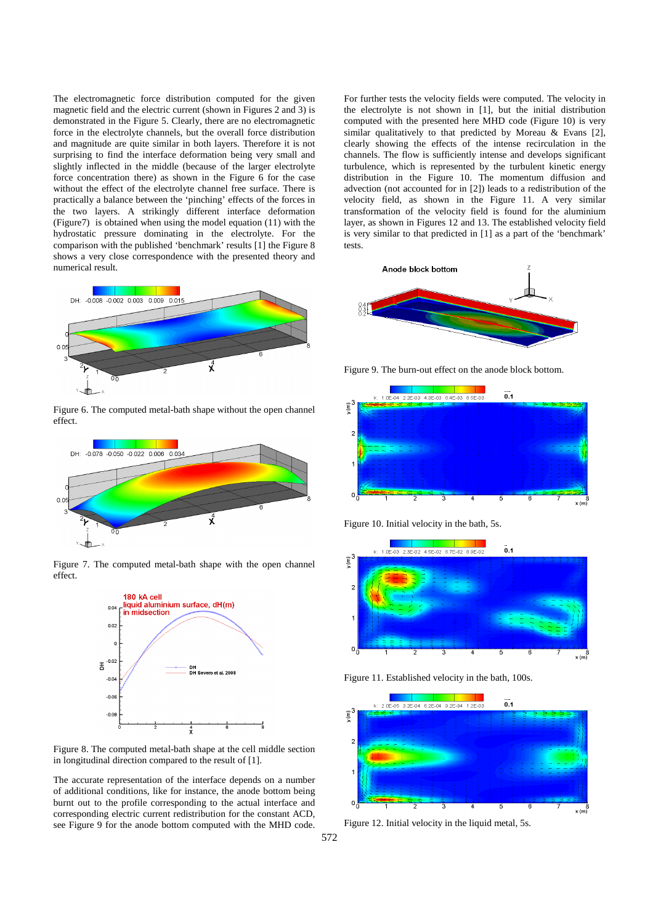The electromagnetic force distribution computed for the given magnetic field and the electric current (shown in Figures 2 and 3) is demonstrated in the Figure 5. Clearly, there are no electromagnetic force in the electrolyte channels, but the overall force distribution and magnitude are quite similar in both layers. Therefore it is not surprising to find the interface deformation being very small and slightly inflected in the middle (because of the larger electrolyte force concentration there) as shown in the Figure 6 for the case without the effect of the electrolyte channel free surface. There is practically a balance between the 'pinching' effects of the forces in the two layers. A strikingly different interface deformation (Figure7) is obtained when using the model equation (11) with the hydrostatic pressure dominating in the electrolyte. For the comparison with the published 'benchmark' results [1] the Figure 8 shows a very close correspondence with the presented theory and numerical result.



Figure 6. The computed metal-bath shape without the open channel effect.



Figure 7. The computed metal-bath shape with the open channel effect.



Figure 8. The computed metal-bath shape at the cell middle section in longitudinal direction compared to the result of [1].

The accurate representation of the interface depends on a number of additional conditions, like for instance, the anode bottom being burnt out to the profile corresponding to the actual interface and corresponding electric current redistribution for the constant ACD, see Figure 9 for the anode bottom computed with the MHD code.

For further tests the velocity fields were computed. The velocity in the electrolyte is not shown in [1], but the initial distribution computed with the presented here MHD code (Figure 10) is very similar qualitatively to that predicted by Moreau & Evans [2], clearly showing the effects of the intense recirculation in the channels. The flow is sufficiently intense and develops significant turbulence, which is represented by the turbulent kinetic energy distribution in the Figure 10. The momentum diffusion and advection (not accounted for in [2]) leads to a redistribution of the velocity field, as shown in the Figure 11. A very similar transformation of the velocity field is found for the aluminium layer, as shown in Figures 12 and 13. The established velocity field is very similar to that predicted in [1] as a part of the 'benchmark' tests.



Figure 9. The burn-out effect on the anode block bottom.



Figure 10. Initial velocity in the bath, 5s.



Figure 11. Established velocity in the bath, 100s.



Figure 12. Initial velocity in the liquid metal, 5s.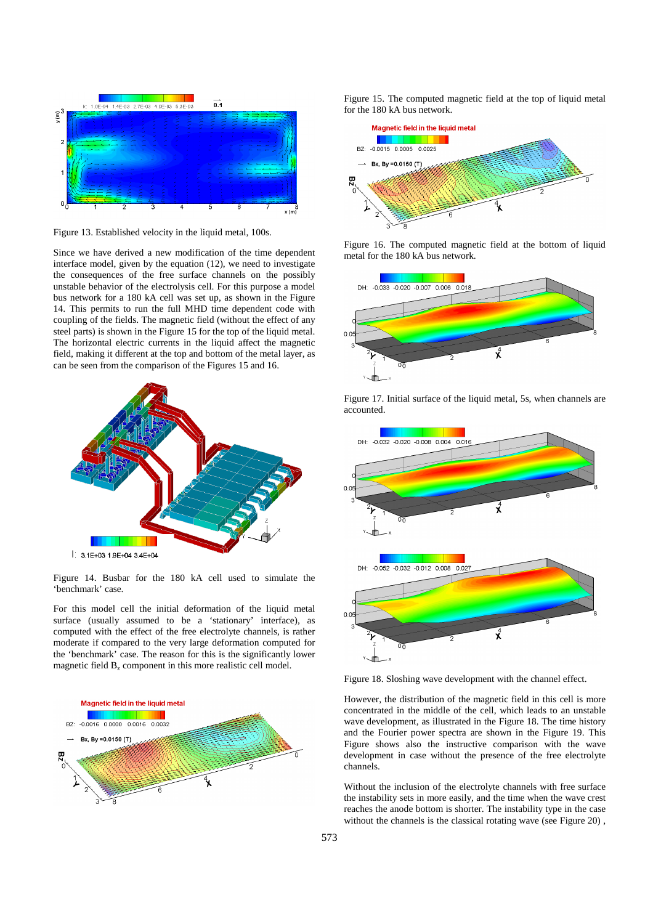

Figure 13. Established velocity in the liquid metal, 100s.

Since we have derived a new modification of the time dependent interface model, given by the equation (12), we need to investigate the consequences of the free surface channels on the possibly unstable behavior of the electrolysis cell. For this purpose a model bus network for a 180 kA cell was set up, as shown in the Figure 14. This permits to run the full MHD time dependent code with coupling of the fields. The magnetic field (without the effect of any steel parts) is shown in the Figure 15 for the top of the liquid metal. The horizontal electric currents in the liquid affect the magnetic field, making it different at the top and bottom of the metal layer, as can be seen from the comparison of the Figures 15 and 16.



Figure 14. Busbar for the 180 kA cell used to simulate the 'benchmark' case.

For this model cell the initial deformation of the liquid metal surface (usually assumed to be a 'stationary' interface), as computed with the effect of the free electrolyte channels, is rather moderate if compared to the very large deformation computed for the 'benchmark' case. The reason for this is the significantly lower magnetic field  $B_z$  component in this more realistic cell model.



Figure 15. The computed magnetic field at the top of liquid metal for the 180 kA bus network.



Figure 16. The computed magnetic field at the bottom of liquid metal for the 180 kA bus network.





Figure 17. Initial surface of the liquid metal, 5s, when channels are accounted.

Figure 18. Sloshing wave development with the channel effect.

However, the distribution of the magnetic field in this cell is more concentrated in the middle of the cell, which leads to an unstable wave development, as illustrated in the Figure 18. The time history and the Fourier power spectra are shown in the Figure 19. This Figure shows also the instructive comparison with the wave development in case without the presence of the free electrolyte channels.

Without the inclusion of the electrolyte channels with free surface the instability sets in more easily, and the time when the wave crest reaches the anode bottom is shorter. The instability type in the case without the channels is the classical rotating wave (see Figure 20) ,